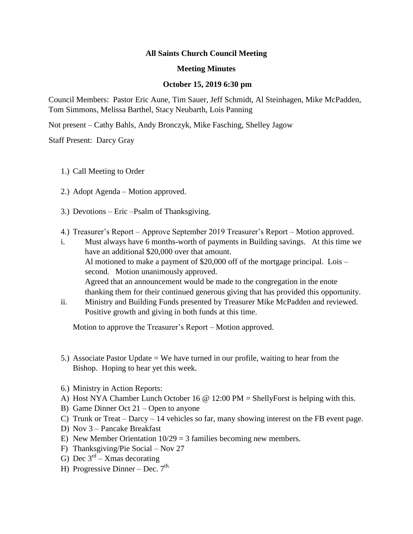## **All Saints Church Council Meeting**

## **Meeting Minutes**

## **October 15, 2019 6:30 pm**

Council Members: Pastor Eric Aune, Tim Sauer, Jeff Schmidt, Al Steinhagen, Mike McPadden, Tom Simmons, Melissa Barthel, Stacy Neubarth, Lois Panning

Not present – Cathy Bahls, Andy Bronczyk, Mike Fasching, Shelley Jagow

Staff Present: Darcy Gray

- 1.) Call Meeting to Order
- 2.) Adopt Agenda Motion approved.
- 3.) Devotions Eric –Psalm of Thanksgiving.
- 4.) Treasurer's Report Approve September 2019 Treasurer's Report Motion approved.
- i. Must always have 6 months-worth of payments in Building savings. At this time we have an additional \$20,000 over that amount. Al motioned to make a payment of \$20,000 off of the mortgage principal. Lois – second. Motion unanimously approved. Agreed that an announcement would be made to the congregation in the enote thanking them for their continued generous giving that has provided this opportunity.
- ii. Ministry and Building Funds presented by Treasurer Mike McPadden and reviewed. Positive growth and giving in both funds at this time.

Motion to approve the Treasurer's Report – Motion approved.

- 5.) Associate Pastor Update = We have turned in our profile, waiting to hear from the Bishop. Hoping to hear yet this week.
- 6.) Ministry in Action Reports:
- A) Host NYA Chamber Lunch October 16  $\omega$  12:00 PM = ShellyForst is helping with this.
- B) Game Dinner Oct 21 Open to anyone
- C) Trunk or Treat Darcy 14 vehicles so far, many showing interest on the FB event page.
- D) Nov 3 Pancake Breakfast
- E) New Member Orientation  $10/29 = 3$  families becoming new members.
- F) Thanksgiving/Pie Social Nov 27
- G) Dec  $3^{\text{rd}}$  Xmas decorating
- H) Progressive Dinner Dec.  $7<sup>th</sup>$ .